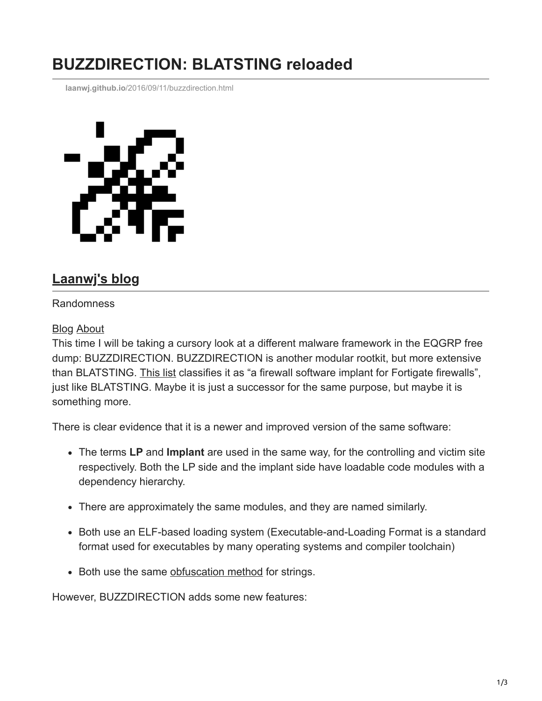## **BUZZDIRECTION: BLATSTING reloaded**

**laanwj.github.io**[/2016/09/11/buzzdirection.html](https://laanwj.github.io/2016/09/11/buzzdirection.html)



## **[Laanwj's blog](https://laanwj.github.io/)**

## Randomness

## [Blog](https://laanwj.github.io/) [About](https://laanwj.github.io/about)

This time I will be taking a cursory look at a different malware framework in the EQGRP free dump: BUZZDIRECTION. BUZZDIRECTION is another modular rootkit, but more extensive than BLATSTING. [This list](https://musalbas.com/2016/08/16/equation-group-firewall-operations-catalogue.html) classifies it as "a firewall software implant for Fortigate firewalls", just like BLATSTING. Maybe it is just a successor for the same purpose, but maybe it is something more.

There is clear evidence that it is a newer and improved version of the same software:

- The terms **LP** and **Implant** are used in the same way, for the controlling and victim site respectively. Both the LP side and the implant side have loadable code modules with a dependency hierarchy.
- There are approximately the same modules, and they are named similarly.
- Both use an ELF-based loading system (Executable-and-Loading Format is a standard format used for executables by many operating systems and compiler toolchain)
- Both use the same [obfuscation method](https://gist.github.com/laanwj/9e5e404266a8956beabde522f97c421b#file-blatsting-txt-L526) for strings.

However, BUZZDIRECTION adds some new features: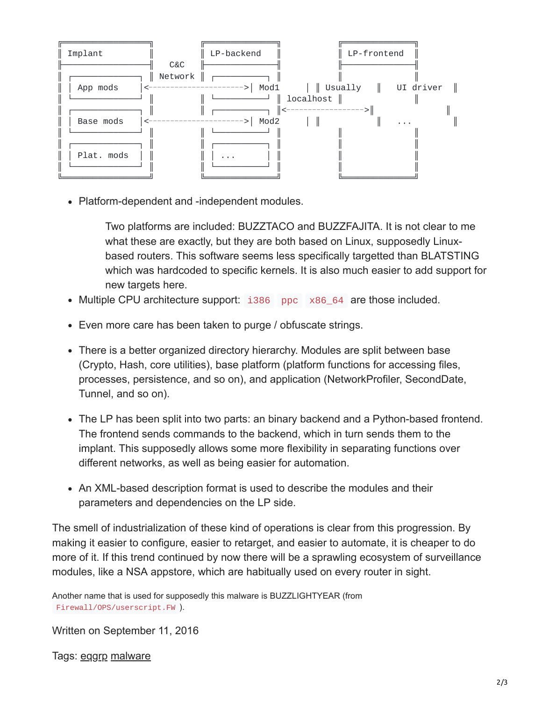

• Platform-dependent and -independent modules.

Two platforms are included: BUZZTACO and BUZZFAJITA. It is not clear to me what these are exactly, but they are both based on Linux, supposedly Linuxbased routers. This software seems less specifically targetted than BLATSTING which was hardcoded to specific kernels. It is also much easier to add support for new targets here.

- Multiple CPU architecture support: i386 ppc x86\_64 are those included.
- Even more care has been taken to purge / obfuscate strings.
- There is a better organized directory hierarchy. Modules are split between base (Crypto, Hash, core utilities), base platform (platform functions for accessing files, processes, persistence, and so on), and application (NetworkProfiler, SecondDate, Tunnel, and so on).
- The LP has been split into two parts: an binary backend and a Python-based frontend. The frontend sends commands to the backend, which in turn sends them to the implant. This supposedly allows some more flexibility in separating functions over different networks, as well as being easier for automation.
- An XML-based description format is used to describe the modules and their parameters and dependencies on the LP side.

The smell of industrialization of these kind of operations is clear from this progression. By making it easier to configure, easier to retarget, and easier to automate, it is cheaper to do more of it. If this trend continued by now there will be a sprawling ecosystem of surveillance modules, like a NSA appstore, which are habitually used on every router in sight.

Another name that is used for supposedly this malware is BUZZLIGHTYEAR (from Firewall/OPS/userscript.FW ).

Written on September 11, 2016

Tags: [eqgrp](https://laanwj.github.io/tags/#eqgrp) [malware](https://laanwj.github.io/tags/#malware)